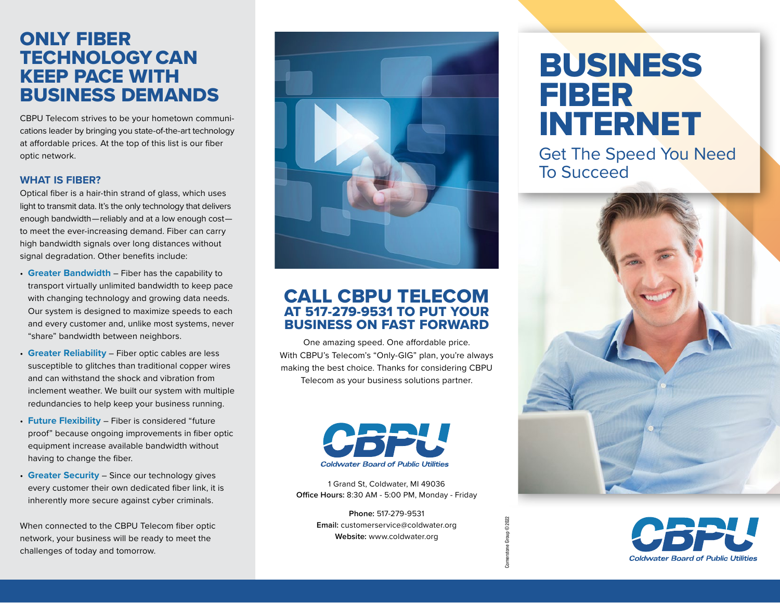## ONLY FIBER TECHNOLOGY CAN KEEP PACE WITH BUSINESS DEMANDS

CBPU Telecom strives to be your hometown communications leader by bringing you state-of-the-art technology at affordable prices. At the top of this list is our fiber optic network.

#### **WHAT IS FIBER?**

Optical fiber is a hair-thin strand of glass, which uses light to transmit data. It's the only technology that delivers enough bandwidth — reliably and at a low enough cost   to meet the ever-increasing demand. Fiber can carry high bandwidth signals over long distances without signal degradation. Other benefits include:

- **Greater Bandwidth** Fiber has the capability to transport virtually unlimited bandwidth to keep pace with changing technology and growing data needs. Our system is designed to maximize speeds to each and every customer and, unlike most systems, never "share" bandwidth between neighbors.
- **Greater Reliability** Fiber optic cables are less susceptible to glitches than traditional copper wires and can withstand the shock and vibration from inclement weather. We built our system with multiple redundancies to help keep your business running.
- **Future Flexibility**  Fiber is considered "future proof" because ongoing improvements in fiber optic equipment increase available bandwidth without having to change the fiber.
- **Greater Security** Since our technology gives every customer their own dedicated fiber link, it is inherently more secure against cyber criminals.

When connected to the CBPU Telecom fiber optic network, your business will be ready to meet the challenges of today and tomorrow.



## CALL CBPU TELECOM AT 517-279-9531 TO PUT YOUR BUSINESS ON FAST FORWARD

One amazing speed. One affordable price. With CBPU's Telecom's "Only-GIG" plan, you're always making the best choice. Thanks for considering CBPU Telecom as your business solutions partner.



1 Grand St, Coldwater, MI 49036 **Office Hours:** 8:30 AM - 5:00 PM, Monday - Friday

> **Phone:** 517-279-9531 **Email:** customerservice@coldwater.org **Website:** www.coldwater.org

Cornerstone Group © 2022

ne Group © 2022

# BUSINESS FIBER INTERNET

Get The Speed You Need To Succeed